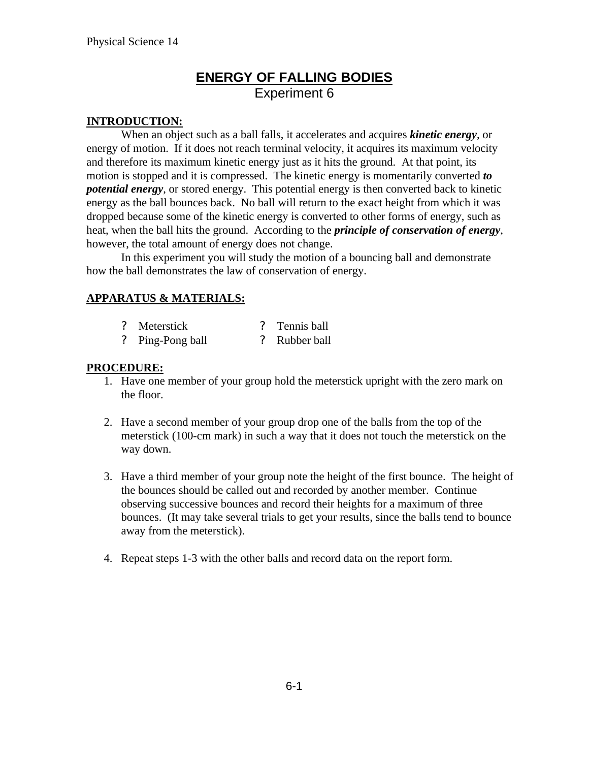## **ENERGY OF FALLING BODIES** Experiment 6

### **INTRODUCTION:**

When an object such as a ball falls, it accelerates and acquires *kinetic energy*, or energy of motion. If it does not reach terminal velocity, it acquires its maximum velocity and therefore its maximum kinetic energy just as it hits the ground. At that point, its motion is stopped and it is compressed. The kinetic energy is momentarily converted *to potential energy*, or stored energy. This potential energy is then converted back to kinetic energy as the ball bounces back. No ball will return to the exact height from which it was dropped because some of the kinetic energy is converted to other forms of energy, such as heat, when the ball hits the ground. According to the *principle of conservation of energy*, however, the total amount of energy does not change.

In this experiment you will study the motion of a bouncing ball and demonstrate how the ball demonstrates the law of conservation of energy.

## **APPARATUS & MATERIALS:**

| ? Meterstick |  | ? Tennis ball |  |
|--------------|--|---------------|--|
|              |  |               |  |

? Ping-Pong ball ? Rubber ball

## **PROCEDURE:**

- 1. Have one member of your group hold the meterstick upright with the zero mark on the floor.
- 2. Have a second member of your group drop one of the balls from the top of the meterstick (100-cm mark) in such a way that it does not touch the meterstick on the way down.
- 3. Have a third member of your group note the height of the first bounce. The height of the bounces should be called out and recorded by another member. Continue observing successive bounces and record their heights for a maximum of three bounces. (It may take several trials to get your results, since the balls tend to bounce away from the meterstick).
- 4. Repeat steps 1-3 with the other balls and record data on the report form.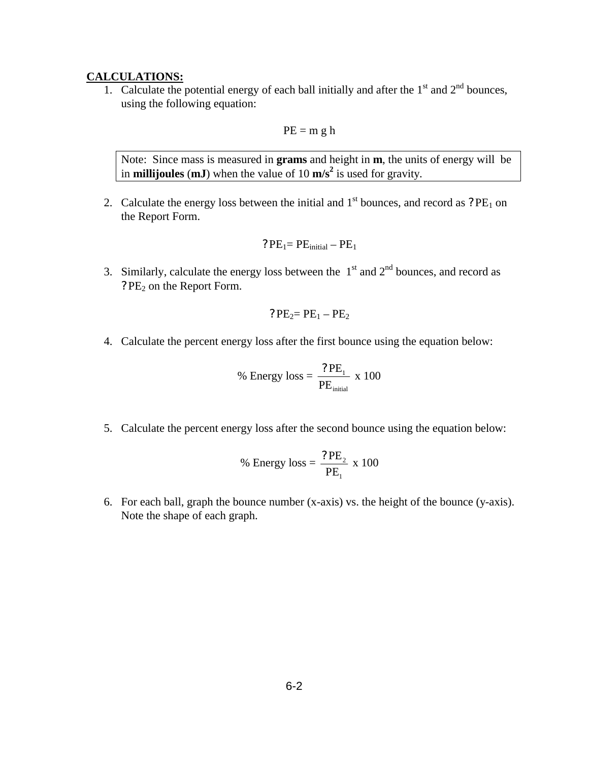#### **CALCULATIONS:**

1. Calculate the potential energy of each ball initially and after the  $1<sup>st</sup>$  and  $2<sup>nd</sup>$  bounces, using the following equation:

$$
PE = m g h
$$

Note: Since mass is measured in **grams** and height in **m**, the units of energy will be in **millijoules** (**mJ**) when the value of 10 **m/s<sup>2</sup>** is used for gravity.

2. Calculate the energy loss between the initial and  $1<sup>st</sup>$  bounces, and record as ? PE<sub>1</sub> on the Report Form.

$$
? \, PE_1 = PE_{initial} - PE_1
$$

3. Similarly, calculate the energy loss between the  $1<sup>st</sup>$  and  $2<sup>nd</sup>$  bounces, and record as ? PE<sub>2</sub> on the Report Form.

$$
?PE_2 = PE_1 - PE_2
$$

4. Calculate the percent energy loss after the first bounce using the equation below:

% Energy loss = 
$$
\frac{?PE_1}{PE_{initial}}
$$
 x 100

5. Calculate the percent energy loss after the second bounce using the equation below:

% Energy loss = 
$$
\frac{?PE_2}{PE_1} \times 100
$$

6. For each ball, graph the bounce number (x-axis) vs. the height of the bounce (y-axis). Note the shape of each graph.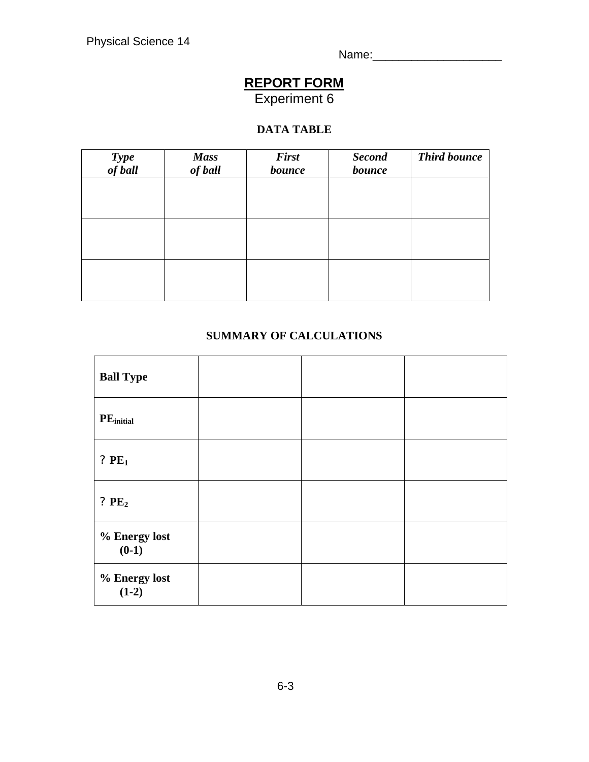Name:\_\_\_\_\_\_\_\_\_\_\_\_\_\_\_\_\_\_\_\_

# **REPORT FORM**

Experiment 6

## **DATA TABLE**

| Type<br>of ball | <b>Mass</b><br>of ball | <b>First</b><br>bounce | <b>Second</b><br>bounce | <b>Third bounce</b> |
|-----------------|------------------------|------------------------|-------------------------|---------------------|
|                 |                        |                        |                         |                     |
|                 |                        |                        |                         |                     |
|                 |                        |                        |                         |                     |
|                 |                        |                        |                         |                     |
|                 |                        |                        |                         |                     |

## **SUMMARY OF CALCULATIONS**

| <b>Ball Type</b>         |  |  |
|--------------------------|--|--|
| PE <sub>initial</sub>    |  |  |
| ? $PE1$                  |  |  |
| ? $PE2$                  |  |  |
| % Energy lost<br>$(0-1)$ |  |  |
| % Energy lost<br>$(1-2)$ |  |  |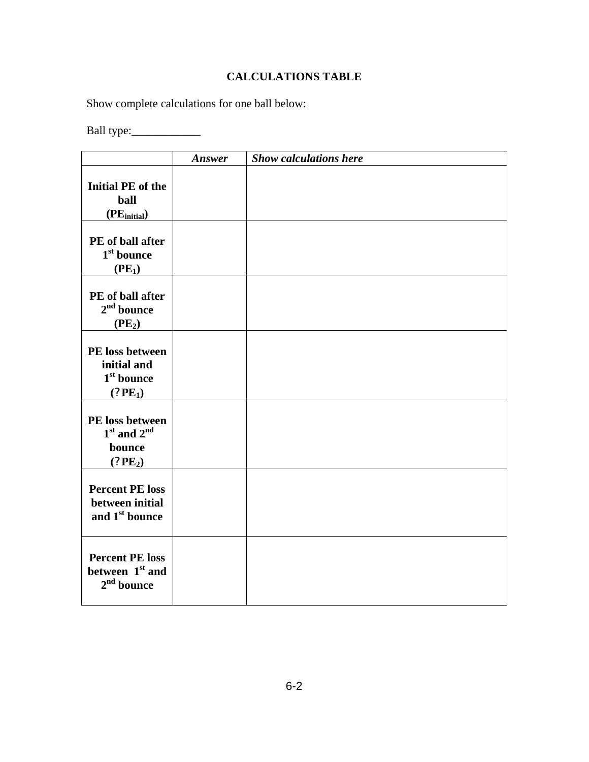## **CALCULATIONS TABLE**

Show complete calculations for one ball below:

Ball type:\_\_\_\_\_\_\_\_\_\_\_\_

|                                                                         | Answer | <b>Show calculations here</b> |
|-------------------------------------------------------------------------|--------|-------------------------------|
| <b>Initial PE</b> of the<br>ball<br>(PE <sub>initial</sub> )            |        |                               |
| PE of ball after<br>1 <sup>st</sup> bounce<br>(PE <sub>1</sub> )        |        |                               |
| PE of ball after<br>$2nd$ bounce<br>(PE <sub>2</sub> )                  |        |                               |
| PE loss between<br>initial and<br>$1st$ bounce<br>(2PE <sub>1</sub> )   |        |                               |
| PE loss between<br>$1st$ and $2nd$<br>bounce<br>(2PE <sub>2</sub> )     |        |                               |
| <b>Percent PE loss</b><br>between initial<br>and 1 <sup>st</sup> bounce |        |                               |
| <b>Percent PE loss</b><br>between 1 <sup>st</sup> and<br>$2nd$ bounce   |        |                               |